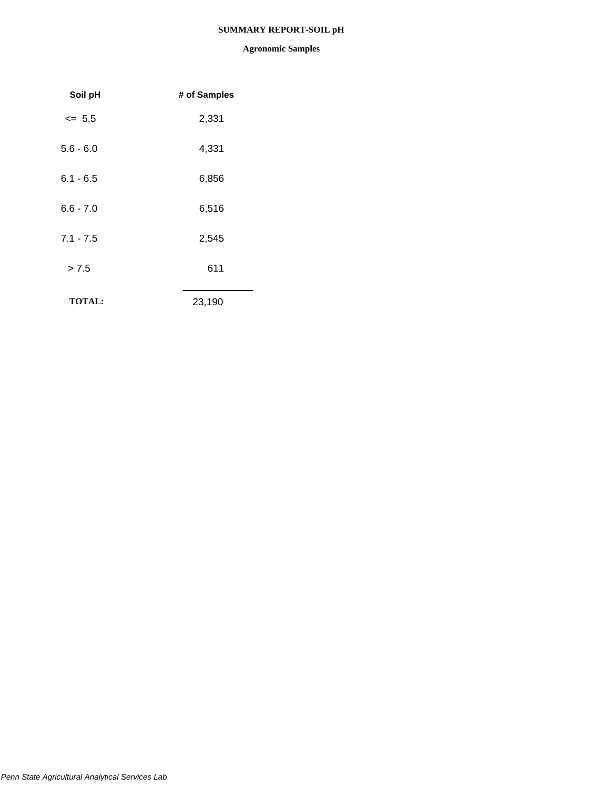## **SUMMARY REPORT-SOIL pH**

| Soil pH       | # of Samples |
|---------------|--------------|
| $= 5.5$       | 2,331        |
| $5.6 - 6.0$   | 4,331        |
| $6.1 - 6.5$   | 6,856        |
| $6.6 - 7.0$   | 6,516        |
| $7.1 - 7.5$   | 2,545        |
| > 7.5         | 611          |
| <b>TOTAL:</b> | 23,190       |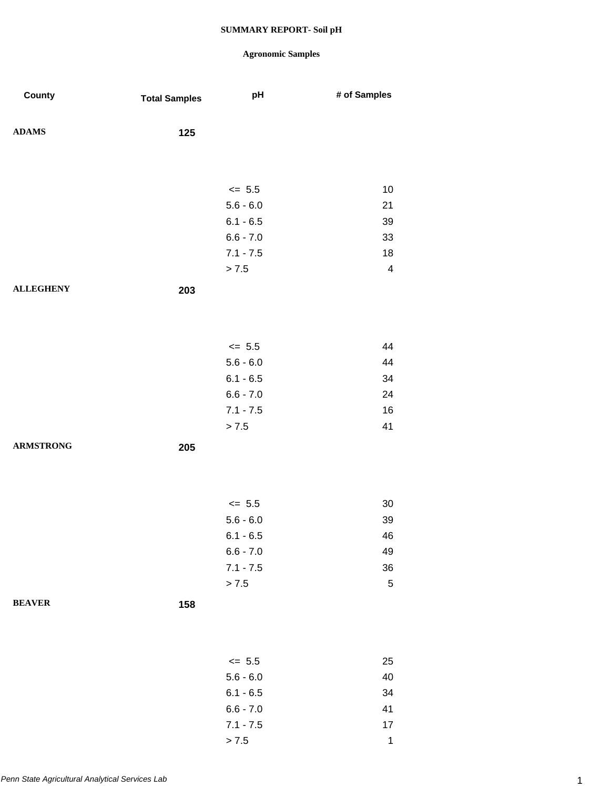## **Agronomic Samples**

 $> 7.5$  1

| County           | <b>Total Samples</b> | pH                         | # of Samples            |
|------------------|----------------------|----------------------------|-------------------------|
| <b>ADAMS</b>     | 125                  |                            |                         |
|                  |                      |                            |                         |
|                  |                      |                            |                         |
|                  |                      | $\le$ 5.5                  | 10                      |
|                  |                      | $5.6 - 6.0$                | 21                      |
|                  |                      | $6.1 - 6.5$<br>$6.6 - 7.0$ | 39<br>33                |
|                  |                      | $7.1 - 7.5$                | 18                      |
|                  |                      | > 7.5                      | $\overline{\mathbf{4}}$ |
| <b>ALLEGHENY</b> |                      |                            |                         |
|                  | 203                  |                            |                         |
|                  |                      |                            |                         |
|                  |                      |                            |                         |
|                  |                      | $\leq$ 5.5                 | 44                      |
|                  |                      | $5.6 - 6.0$<br>$6.1 - 6.5$ | 44<br>34                |
|                  |                      | $6.6 - 7.0$                | 24                      |
|                  |                      | $7.1 - 7.5$                | 16                      |
|                  |                      | > 7.5                      | 41                      |
| <b>ARMSTRONG</b> | 205                  |                            |                         |
|                  |                      |                            |                         |
|                  |                      |                            |                         |
|                  |                      | $\le$ 5.5                  | 30                      |
|                  |                      | $5.6 - 6.0$                | 39                      |
|                  |                      | $6.1 - 6.5$                | 46                      |
|                  |                      | $6.6 - 7.0$                | 49                      |
|                  |                      | $7.1 - 7.5$                | 36                      |
|                  |                      | > 7.5                      | $\mathbf 5$             |
| <b>BEAVER</b>    | 158                  |                            |                         |
|                  |                      |                            |                         |
|                  |                      |                            |                         |
|                  |                      | $\leq$ 5.5                 | 25                      |
|                  |                      | $5.6 - 6.0$                | 40                      |
|                  |                      | $6.1 - 6.5$                | 34                      |
|                  |                      | $6.6 - 7.0$                | 41                      |
|                  |                      | $7.1 - 7.5$                | $17$                    |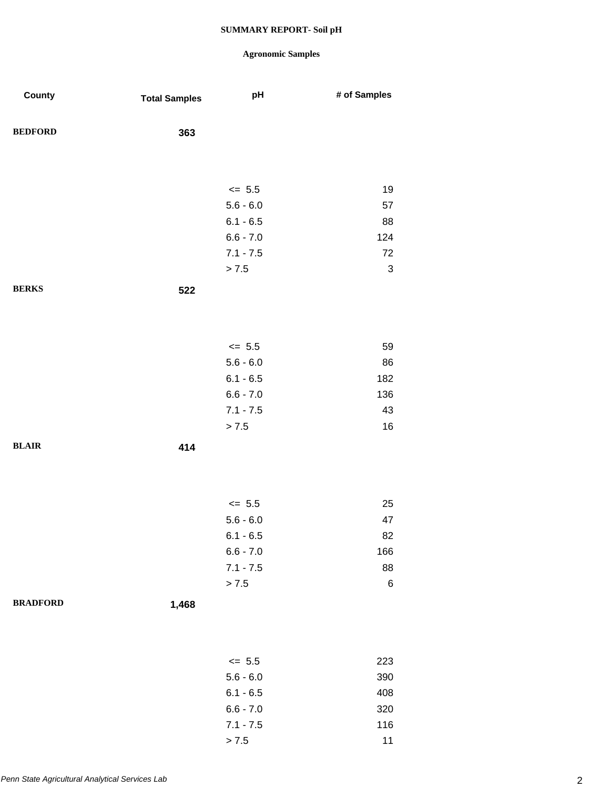| County          | <b>Total Samples</b> | pH          | # of Samples              |
|-----------------|----------------------|-------------|---------------------------|
| <b>BEDFORD</b>  | 363                  |             |                           |
|                 |                      |             |                           |
|                 |                      | $\leq$ 5.5  | 19                        |
|                 |                      | $5.6 - 6.0$ | 57                        |
|                 |                      | $6.1 - 6.5$ | 88                        |
|                 |                      | $6.6 - 7.0$ | 124                       |
|                 |                      | $7.1 - 7.5$ | $72\,$                    |
|                 |                      | > 7.5       | $\ensuremath{\mathsf{3}}$ |
| <b>BERKS</b>    | 522                  |             |                           |
|                 |                      |             |                           |
|                 |                      |             |                           |
|                 |                      | $\leq$ 5.5  | 59                        |
|                 |                      | $5.6 - 6.0$ | 86                        |
|                 |                      | $6.1 - 6.5$ | 182                       |
|                 |                      | $6.6 - 7.0$ | 136                       |
|                 |                      | $7.1 - 7.5$ | 43                        |
|                 |                      | > 7.5       | 16                        |
| <b>BLAIR</b>    | 414                  |             |                           |
|                 |                      |             |                           |
|                 |                      |             |                           |
|                 |                      | $\le$ 5.5   | 25                        |
|                 |                      | $5.6 - 6.0$ | 47                        |
|                 |                      | $6.1 - 6.5$ | 82                        |
|                 |                      | $6.6 - 7.0$ | 166                       |
|                 |                      | $7.1 - 7.5$ | 88                        |
|                 |                      | > 7.5       | $\,6$                     |
| <b>BRADFORD</b> | 1,468                |             |                           |
|                 |                      |             |                           |
|                 |                      |             |                           |
|                 |                      | $\leq$ 5.5  | 223                       |
|                 |                      | $5.6 - 6.0$ | 390                       |
|                 |                      | $6.1 - 6.5$ | 408                       |
|                 |                      | $6.6 - 7.0$ | 320                       |
|                 |                      | $7.1 - 7.5$ | 116                       |
|                 |                      | > 7.5       | 11                        |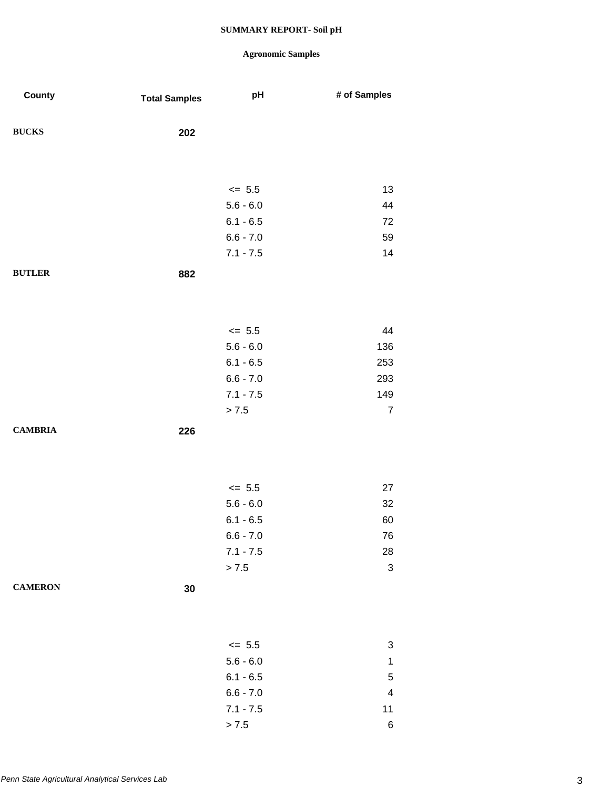| County         | <b>Total Samples</b> | pH          | # of Samples              |
|----------------|----------------------|-------------|---------------------------|
| <b>BUCKS</b>   | 202                  |             |                           |
|                |                      |             |                           |
|                |                      | $\leq$ 5.5  | 13                        |
|                |                      | $5.6 - 6.0$ | 44                        |
|                |                      | $6.1 - 6.5$ | 72                        |
|                |                      | $6.6 - 7.0$ | 59                        |
|                |                      | $7.1 - 7.5$ | 14                        |
| <b>BUTLER</b>  | 882                  |             |                           |
|                |                      |             |                           |
|                |                      | $\leq$ 5.5  | 44                        |
|                |                      | $5.6 - 6.0$ | 136                       |
|                |                      | $6.1 - 6.5$ | 253                       |
|                |                      | $6.6 - 7.0$ | 293                       |
|                |                      | $7.1 - 7.5$ | 149                       |
|                |                      | > 7.5       | $\overline{7}$            |
| <b>CAMBRIA</b> | 226                  |             |                           |
|                |                      |             |                           |
|                |                      | $\leq$ 5.5  | 27                        |
|                |                      | $5.6 - 6.0$ | 32                        |
|                |                      | $6.1 - 6.5$ | 60                        |
|                |                      | $6.6 - 7.0$ | 76                        |
|                |                      | $7.1 - 7.5$ | $28\,$                    |
|                |                      | > 7.5       | $\ensuremath{\mathsf{3}}$ |
| <b>CAMERON</b> | 30                   |             |                           |
|                |                      |             |                           |
|                |                      | $\leq$ 5.5  | $\ensuremath{\mathsf{3}}$ |
|                |                      | $5.6 - 6.0$ | $\mathbf{1}$              |
|                |                      | $6.1 - 6.5$ | $\mathbf 5$               |
|                |                      | $6.6 - 7.0$ | $\overline{\mathbf{4}}$   |
|                |                      | $7.1 - 7.5$ | 11                        |
|                |                      | > 7.5       | $\,6$                     |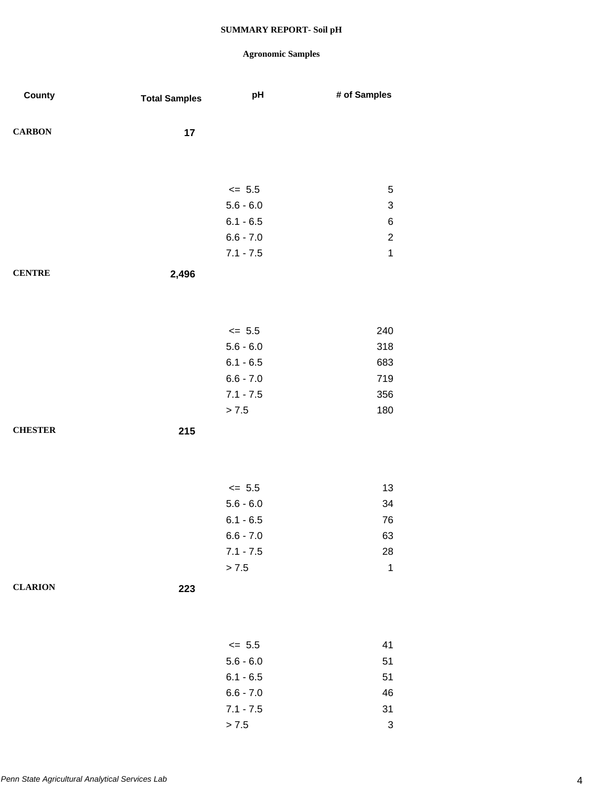| County         | <b>Total Samples</b> | pH          | # of Samples              |
|----------------|----------------------|-------------|---------------------------|
| <b>CARBON</b>  | 17                   |             |                           |
|                |                      |             |                           |
|                |                      | $\leq$ 5.5  | $\sqrt{5}$                |
|                |                      | $5.6 - 6.0$ | $\ensuremath{\mathsf{3}}$ |
|                |                      | $6.1 - 6.5$ | $\,6$                     |
|                |                      | $6.6 - 7.0$ | $\sqrt{2}$                |
|                |                      | $7.1 - 7.5$ | $\mathbf{1}$              |
| <b>CENTRE</b>  | 2,496                |             |                           |
|                |                      |             |                           |
|                |                      | $\leq$ 5.5  | 240                       |
|                |                      | $5.6 - 6.0$ | 318                       |
|                |                      | $6.1 - 6.5$ | 683                       |
|                |                      | $6.6 - 7.0$ | 719                       |
|                |                      | $7.1 - 7.5$ | 356                       |
|                |                      | > 7.5       | 180                       |
| <b>CHESTER</b> | 215                  |             |                           |
|                |                      |             |                           |
|                |                      | $\leq$ 5.5  | 13                        |
|                |                      | $5.6 - 6.0$ | 34                        |
|                |                      | $6.1 - 6.5$ | ${\bf 76}$                |
|                |                      | $6.6 - 7.0$ | 63                        |
|                |                      | $7.1 - 7.5$ | 28                        |
|                |                      | > 7.5       | $\mathbf 1$               |
| <b>CLARION</b> | 223                  |             |                           |
|                |                      |             |                           |
|                |                      | $\leq$ 5.5  | 41                        |
|                |                      | $5.6 - 6.0$ | 51                        |
|                |                      | $6.1 - 6.5$ | 51                        |
|                |                      | $6.6 - 7.0$ | 46                        |
|                |                      | $7.1 - 7.5$ | 31                        |
|                |                      | > 7.5       | $\ensuremath{\mathsf{3}}$ |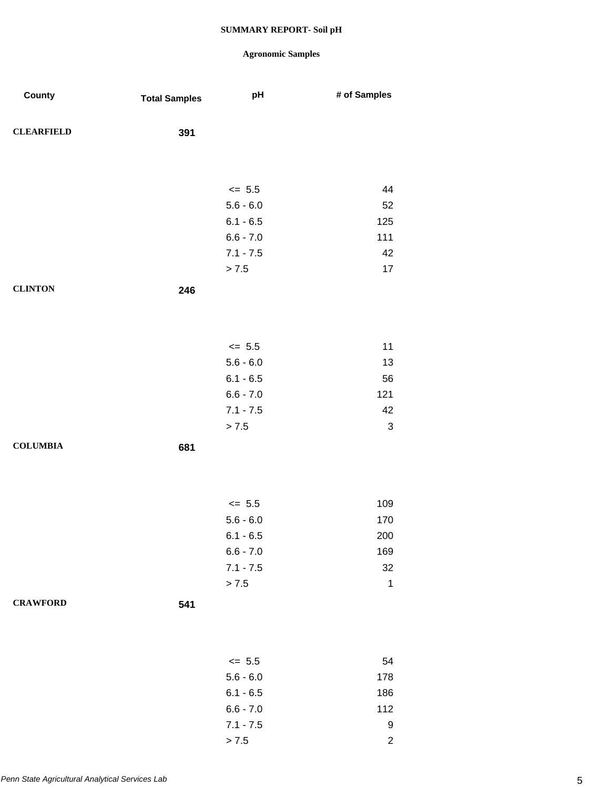| County            | <b>Total Samples</b> | pH          | # of Samples              |
|-------------------|----------------------|-------------|---------------------------|
| <b>CLEARFIELD</b> | 391                  |             |                           |
|                   |                      |             |                           |
|                   |                      | $\leq$ 5.5  | 44                        |
|                   |                      | $5.6 - 6.0$ | 52                        |
|                   |                      | $6.1 - 6.5$ | 125                       |
|                   |                      | $6.6 - 7.0$ | 111                       |
|                   |                      | $7.1 - 7.5$ | 42                        |
|                   |                      | > 7.5       | 17                        |
| <b>CLINTON</b>    | 246                  |             |                           |
|                   |                      |             |                           |
|                   |                      | $\leq$ 5.5  | 11                        |
|                   |                      | $5.6 - 6.0$ | 13                        |
|                   |                      | $6.1 - 6.5$ | 56                        |
|                   |                      | $6.6 - 7.0$ | 121                       |
|                   |                      | $7.1 - 7.5$ | 42                        |
|                   |                      | > 7.5       | $\ensuremath{\mathsf{3}}$ |
| <b>COLUMBIA</b>   | 681                  |             |                           |
|                   |                      |             |                           |
|                   |                      | $\leq$ 5.5  | 109                       |
|                   |                      | $5.6 - 6.0$ | 170                       |
|                   |                      | $6.1 - 6.5$ | 200                       |
|                   |                      | $6.6 - 7.0$ | 169                       |
|                   |                      | $7.1 - 7.5$ | 32                        |
|                   |                      | > 7.5       | $\mathbf 1$               |
| <b>CRAWFORD</b>   | 541                  |             |                           |
|                   |                      |             |                           |
|                   |                      | $\leq$ 5.5  | 54                        |
|                   |                      | $5.6 - 6.0$ | 178                       |
|                   |                      | $6.1 - 6.5$ | 186                       |
|                   |                      | $6.6 - 7.0$ | 112                       |
|                   |                      | $7.1 - 7.5$ | 9                         |
|                   |                      | > 7.5       | $\overline{c}$            |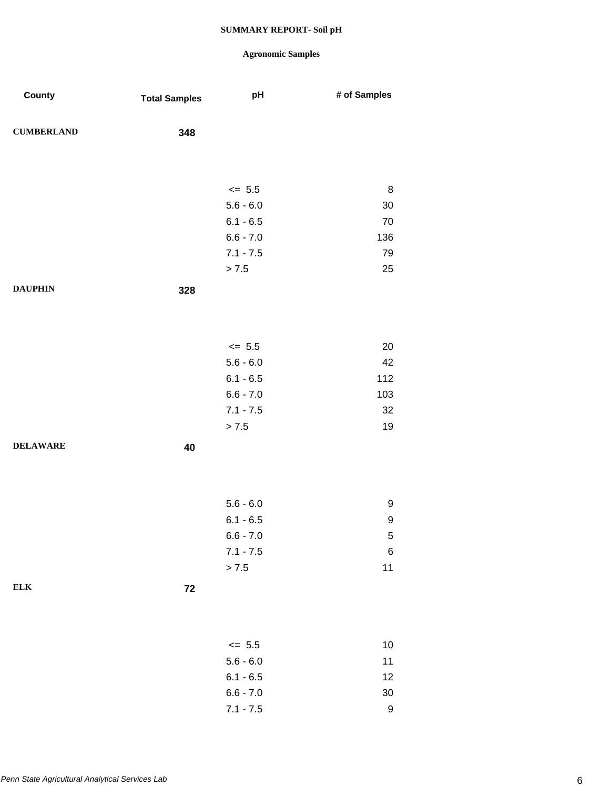| County            | <b>Total Samples</b> | pH                         | # of Samples |
|-------------------|----------------------|----------------------------|--------------|
|                   |                      |                            |              |
| <b>CUMBERLAND</b> | 348                  |                            |              |
|                   |                      |                            |              |
|                   |                      |                            |              |
|                   |                      | $\leq$ 5.5                 | 8            |
|                   |                      | $5.6 - 6.0$                | 30           |
|                   |                      | $6.1 - 6.5$                | 70           |
|                   |                      | $6.6 - 7.0$                | 136          |
|                   |                      | $7.1 - 7.5$                | 79           |
|                   |                      | > 7.5                      | 25           |
| <b>DAUPHIN</b>    | 328                  |                            |              |
|                   |                      |                            |              |
|                   |                      |                            |              |
|                   |                      | $\leq$ 5.5                 | 20           |
|                   |                      | $5.6 - 6.0$                | 42           |
|                   |                      | $6.1 - 6.5$                | 112          |
|                   |                      | $6.6 - 7.0$                | 103          |
|                   |                      | $7.1 - 7.5$                | 32           |
|                   |                      | > 7.5                      | 19           |
| <b>DELAWARE</b>   | 40                   |                            |              |
|                   |                      |                            |              |
|                   |                      |                            |              |
|                   |                      |                            |              |
|                   |                      | $5.6 - 6.0$                | 9            |
|                   |                      | $6.1 - 6.5$<br>$6.6 - 7.0$ | 9<br>5       |
|                   |                      | $7.1 - 7.5$                | $\,6\,$      |
|                   |                      | > 7.5                      | 11           |
| <b>ELK</b>        |                      |                            |              |
|                   | 72                   |                            |              |
|                   |                      |                            |              |
|                   |                      |                            |              |
|                   |                      | $\leq$ 5.5                 | 10           |
|                   |                      | $5.6 - 6.0$                | 11           |
|                   |                      | $6.1 - 6.5$                | 12           |
|                   |                      | $6.6 - 7.0$                | 30           |
|                   |                      | $7.1 - 7.5$                | 9            |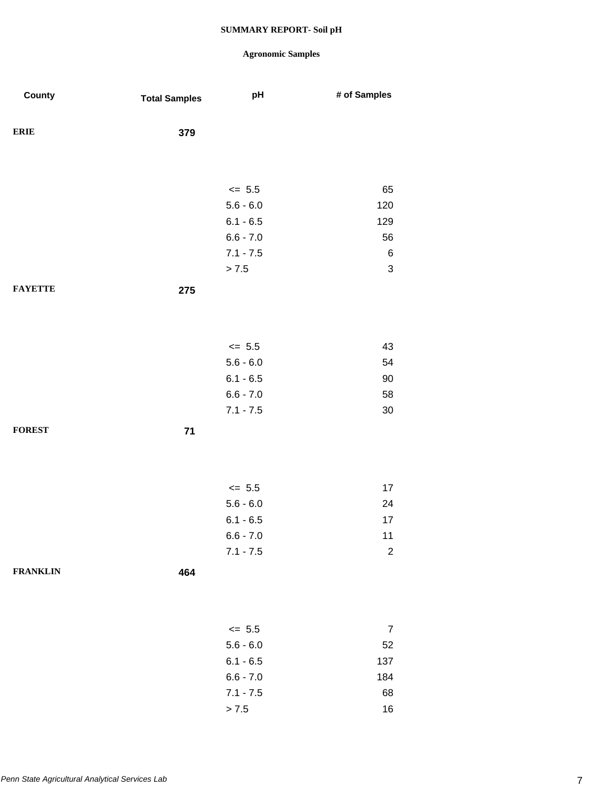| County          | <b>Total Samples</b> | pH          | # of Samples              |
|-----------------|----------------------|-------------|---------------------------|
| <b>ERIE</b>     | 379                  |             |                           |
|                 |                      |             |                           |
|                 |                      | $\leq$ 5.5  | 65                        |
|                 |                      | $5.6 - 6.0$ | 120                       |
|                 |                      | $6.1 - 6.5$ | 129                       |
|                 |                      | $6.6 - 7.0$ | 56                        |
|                 |                      | $7.1 - 7.5$ | $\,6$                     |
|                 |                      | > 7.5       | $\ensuremath{\mathsf{3}}$ |
| <b>FAYETTE</b>  | 275                  |             |                           |
|                 |                      |             |                           |
|                 |                      | $\le$ 5.5   | 43                        |
|                 |                      | $5.6 - 6.0$ | 54                        |
|                 |                      | $6.1 - 6.5$ | $90\,$                    |
|                 |                      | $6.6 - 7.0$ | 58                        |
|                 |                      | $7.1 - 7.5$ | $30\,$                    |
| <b>FOREST</b>   | $71$                 |             |                           |
|                 |                      |             |                           |
|                 |                      | $\le$ 5.5   | 17                        |
|                 |                      | $5.6 - 6.0$ | 24                        |
|                 |                      | $6.1 - 6.5$ | 17                        |
|                 |                      | $6.6 - 7.0$ | $11$                      |
|                 |                      | $7.1 - 7.5$ | $\boldsymbol{2}$          |
| <b>FRANKLIN</b> | 464                  |             |                           |
|                 |                      |             |                           |
|                 |                      | $\le$ 5.5   | $\overline{7}$            |
|                 |                      | $5.6 - 6.0$ | 52                        |
|                 |                      | $6.1 - 6.5$ | 137                       |
|                 |                      | $6.6 - 7.0$ | 184                       |
|                 |                      | $7.1 - 7.5$ | 68                        |
|                 |                      | $> 7.5$     | 16                        |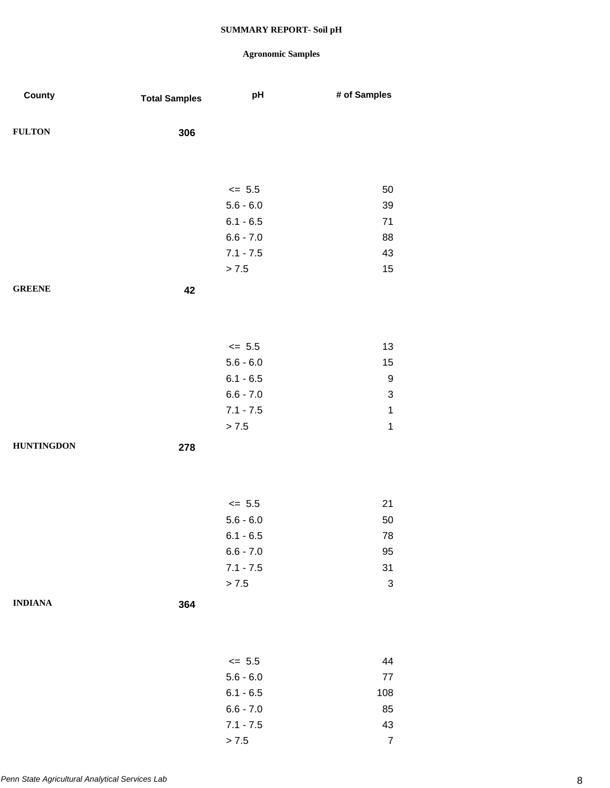| County            | <b>Total Samples</b> | pH          | # of Samples              |
|-------------------|----------------------|-------------|---------------------------|
| <b>FULTON</b>     | 306                  |             |                           |
|                   |                      |             |                           |
|                   |                      | $\leq$ 5.5  | 50                        |
|                   |                      | $5.6 - 6.0$ | 39                        |
|                   |                      | $6.1 - 6.5$ | $71$                      |
|                   |                      | $6.6 - 7.0$ | 88                        |
|                   |                      | $7.1 - 7.5$ | 43                        |
|                   |                      | > 7.5       | 15                        |
| <b>GREENE</b>     | 42                   |             |                           |
|                   |                      |             |                           |
|                   |                      | $\leq$ 5.5  | 13                        |
|                   |                      | $5.6 - 6.0$ | 15                        |
|                   |                      | $6.1 - 6.5$ | 9                         |
|                   |                      | $6.6 - 7.0$ | $\ensuremath{\mathsf{3}}$ |
|                   |                      | $7.1 - 7.5$ | $\mathbf 1$               |
|                   |                      | > 7.5       | $\mathbf 1$               |
| <b>HUNTINGDON</b> | 278                  |             |                           |
|                   |                      |             |                           |
|                   |                      | $\leq$ 5.5  | 21                        |
|                   |                      | $5.6 - 6.0$ | 50                        |
|                   |                      | $6.1 - 6.5$ | ${\bf 78}$                |
|                   |                      | $6.6 - 7.0$ | 95                        |
|                   |                      | $7.1 - 7.5$ | 31                        |
|                   |                      | > 7.5       | $\ensuremath{\mathsf{3}}$ |
| <b>INDIANA</b>    | 364                  |             |                           |
|                   |                      |             |                           |
|                   |                      | $\leq$ 5.5  | 44                        |
|                   |                      | $5.6 - 6.0$ | $77\,$                    |
|                   |                      | $6.1 - 6.5$ | 108                       |
|                   |                      | $6.6 - 7.0$ | 85                        |
|                   |                      | $7.1 - 7.5$ | 43                        |
|                   |                      | > 7.5       | $\boldsymbol{7}$          |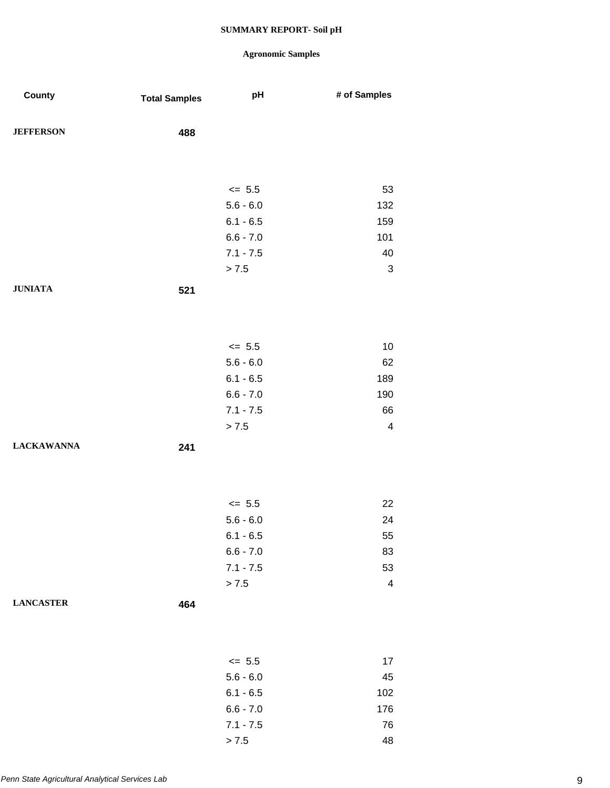| County            | <b>Total Samples</b> | pH          | # of Samples            |
|-------------------|----------------------|-------------|-------------------------|
| <b>JEFFERSON</b>  | 488                  |             |                         |
|                   |                      |             |                         |
|                   |                      | $\leq$ 5.5  | 53                      |
|                   |                      | $5.6 - 6.0$ | 132                     |
|                   |                      | $6.1 - 6.5$ | 159                     |
|                   |                      | $6.6 - 7.0$ | 101                     |
|                   |                      | $7.1 - 7.5$ | 40                      |
|                   |                      | > 7.5       | $\sqrt{3}$              |
| <b>JUNIATA</b>    | 521                  |             |                         |
|                   |                      |             |                         |
|                   |                      |             |                         |
|                   |                      | $\le$ 5.5   | 10                      |
|                   |                      | $5.6 - 6.0$ | 62                      |
|                   |                      | $6.1 - 6.5$ | 189                     |
|                   |                      | $6.6 - 7.0$ | 190                     |
|                   |                      | $7.1 - 7.5$ | 66                      |
|                   |                      | > 7.5       | $\overline{4}$          |
| <b>LACKAWANNA</b> | 241                  |             |                         |
|                   |                      |             |                         |
|                   |                      |             |                         |
|                   |                      | $\le$ 5.5   | 22                      |
|                   |                      | $5.6 - 6.0$ | 24                      |
|                   |                      | $6.1 - 6.5$ | 55                      |
|                   |                      | $6.6 - 7.0$ | 83                      |
|                   |                      | $7.1 - 7.5$ | 53                      |
|                   |                      | > 7.5       | $\overline{\mathbf{4}}$ |
| <b>LANCASTER</b>  | 464                  |             |                         |
|                   |                      |             |                         |
|                   |                      |             |                         |
|                   |                      | $\leq$ 5.5  | 17                      |
|                   |                      | $5.6 - 6.0$ | 45                      |
|                   |                      | $6.1 - 6.5$ | 102                     |
|                   |                      | $6.6 - 7.0$ | 176                     |
|                   |                      | $7.1 - 7.5$ | 76                      |
|                   |                      | > 7.5       | 48                      |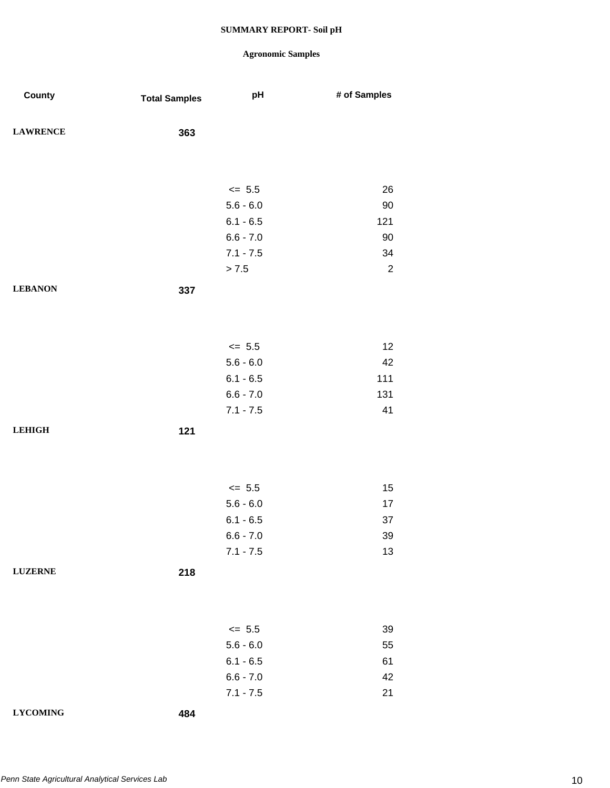| County          | <b>Total Samples</b> | pH          | # of Samples   |
|-----------------|----------------------|-------------|----------------|
| <b>LAWRENCE</b> | 363                  |             |                |
|                 |                      |             |                |
|                 |                      | $\le$ 5.5   | 26             |
|                 |                      | $5.6 - 6.0$ | 90             |
|                 |                      | $6.1 - 6.5$ | 121            |
|                 |                      | $6.6 - 7.0$ | 90             |
|                 |                      | $7.1 - 7.5$ | 34             |
|                 |                      | > 7.5       | $\overline{2}$ |
| <b>LEBANON</b>  | 337                  |             |                |
|                 |                      |             |                |
|                 |                      |             |                |
|                 |                      | $\le$ 5.5   | 12             |
|                 |                      | $5.6 - 6.0$ | 42             |
|                 |                      | $6.1 - 6.5$ | 111            |
|                 |                      | $6.6 - 7.0$ | 131            |
|                 |                      | $7.1 - 7.5$ | 41             |
| <b>LEHIGH</b>   | 121                  |             |                |
|                 |                      |             |                |
|                 |                      |             |                |
|                 |                      |             |                |
|                 |                      | $\le$ 5.5   | 15             |
|                 |                      | $5.6 - 6.0$ | 17             |
|                 |                      | $6.1 - 6.5$ | 37             |
|                 |                      | $6.6 - 7.0$ | 39             |
|                 |                      | $7.1 - 7.5$ | 13             |
| <b>LUZERNE</b>  | 218                  |             |                |
|                 |                      |             |                |
|                 |                      |             |                |
|                 |                      | $\leq$ 5.5  | 39             |
|                 |                      | $5.6 - 6.0$ | 55             |
|                 |                      | $6.1 - 6.5$ | 61             |
|                 |                      | $6.6 - 7.0$ | 42             |
|                 |                      | $7.1 - 7.5$ | 21             |
| <b>LYCOMING</b> | 484                  |             |                |
|                 |                      |             |                |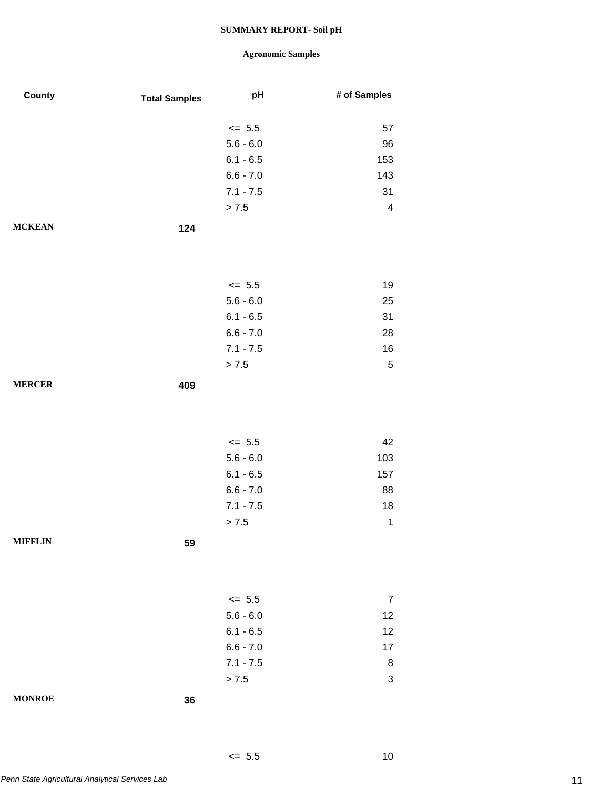## **Agronomic Samples**

 $\leq 5.5$  10

| County         | <b>Total Samples</b> | pH          | # of Samples            |
|----------------|----------------------|-------------|-------------------------|
|                |                      |             |                         |
|                |                      | $\leq$ 5.5  | 57                      |
|                |                      | $5.6 - 6.0$ | 96                      |
|                |                      | $6.1 - 6.5$ | 153                     |
|                |                      | $6.6 - 7.0$ | 143                     |
|                |                      | $7.1 - 7.5$ | 31                      |
|                |                      | > 7.5       | $\overline{\mathbf{4}}$ |
| <b>MCKEAN</b>  | 124                  |             |                         |
|                |                      |             |                         |
|                |                      |             |                         |
|                |                      | $\leq$ 5.5  | 19                      |
|                |                      | $5.6 - 6.0$ | 25                      |
|                |                      | $6.1 - 6.5$ | 31                      |
|                |                      | $6.6 - 7.0$ | 28                      |
|                |                      | $7.1 - 7.5$ | 16                      |
|                |                      | > 7.5       | $\mathbf 5$             |
|                |                      |             |                         |
| <b>MERCER</b>  | 409                  |             |                         |
|                |                      |             |                         |
|                |                      |             |                         |
|                |                      | $\leq$ 5.5  | 42                      |
|                |                      | $5.6 - 6.0$ | 103                     |
|                |                      | $6.1 - 6.5$ | 157                     |
|                |                      | $6.6 - 7.0$ | 88                      |
|                |                      | $7.1 - 7.5$ | 18                      |
|                |                      | > 7.5       | 1                       |
| <b>MIFFLIN</b> | 59                   |             |                         |
|                |                      |             |                         |
|                |                      |             |                         |
|                |                      |             |                         |
|                |                      | $\leq$ 5.5  | $\overline{7}$          |
|                |                      | $5.6 - 6.0$ | 12                      |
|                |                      | $6.1 - 6.5$ | 12                      |
|                |                      | $6.6 - 7.0$ | 17                      |
|                |                      | $7.1 - 7.5$ | 8                       |
|                |                      | > 7.5       | 3                       |
| <b>MONROE</b>  | 36                   |             |                         |
|                |                      |             |                         |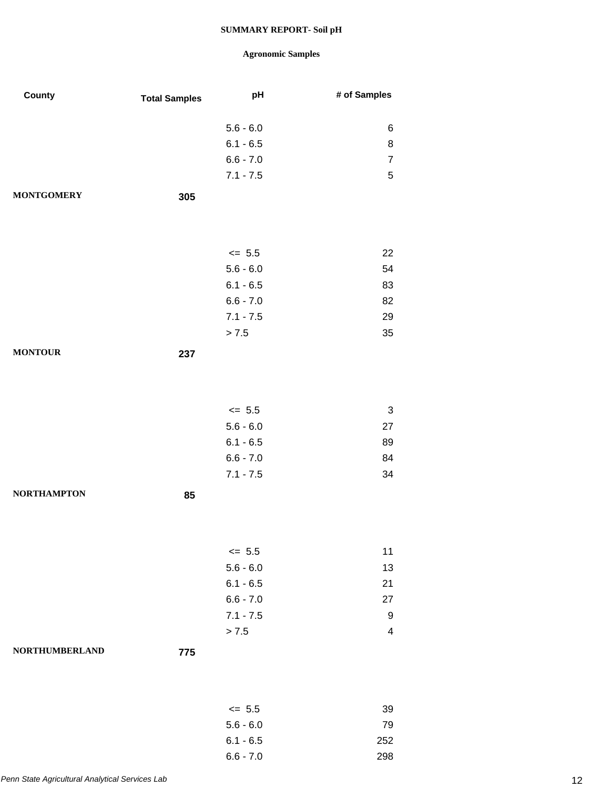| County                | <b>Total Samples</b> | pH                         | # of Samples   |
|-----------------------|----------------------|----------------------------|----------------|
|                       |                      |                            |                |
|                       |                      | $5.6 - 6.0$                | 6              |
|                       |                      | $6.1 - 6.5$                | 8              |
|                       |                      | $6.6 - 7.0$                | $\overline{7}$ |
|                       |                      | $7.1 - 7.5$                | $\sqrt{5}$     |
| <b>MONTGOMERY</b>     | 305                  |                            |                |
|                       |                      |                            |                |
|                       |                      |                            |                |
|                       |                      | $\leq$ 5.5                 | 22             |
|                       |                      | $5.6 - 6.0$                | 54             |
|                       |                      | $6.1 - 6.5$                | 83             |
|                       |                      | $6.6 - 7.0$                | 82             |
|                       |                      | $7.1 - 7.5$                | 29             |
|                       |                      | > 7.5                      | 35             |
| <b>MONTOUR</b>        | 237                  |                            |                |
|                       |                      |                            |                |
|                       |                      |                            |                |
|                       |                      |                            |                |
|                       |                      | $\leq$ 5.5                 | $\sqrt{3}$     |
|                       |                      | $5.6 - 6.0$<br>$6.1 - 6.5$ | 27             |
|                       |                      | $6.6 - 7.0$                | 89<br>84       |
|                       |                      | $7.1 - 7.5$                | 34             |
|                       |                      |                            |                |
| <b>NORTHAMPTON</b>    | 85                   |                            |                |
|                       |                      |                            |                |
|                       |                      |                            |                |
|                       |                      | $\leq$ 5.5                 | 11             |
|                       |                      | $5.6 - 6.0$                | 13             |
|                       |                      | $6.1 - 6.5$                | 21             |
|                       |                      | $6.6 - 7.0$                | 27             |
|                       |                      | $7.1 - 7.5$                | 9              |
|                       |                      | > 7.5                      | $\overline{4}$ |
| <b>NORTHUMBERLAND</b> | 775                  |                            |                |
|                       |                      |                            |                |
|                       |                      |                            |                |
|                       |                      | $\leq$ 5.5                 | 39             |
|                       |                      | $5.6 - 6.0$                | 79             |
|                       |                      | $6.1 - 6.5$                | 252            |
|                       |                      | $6.6 - 7.0$                | 298            |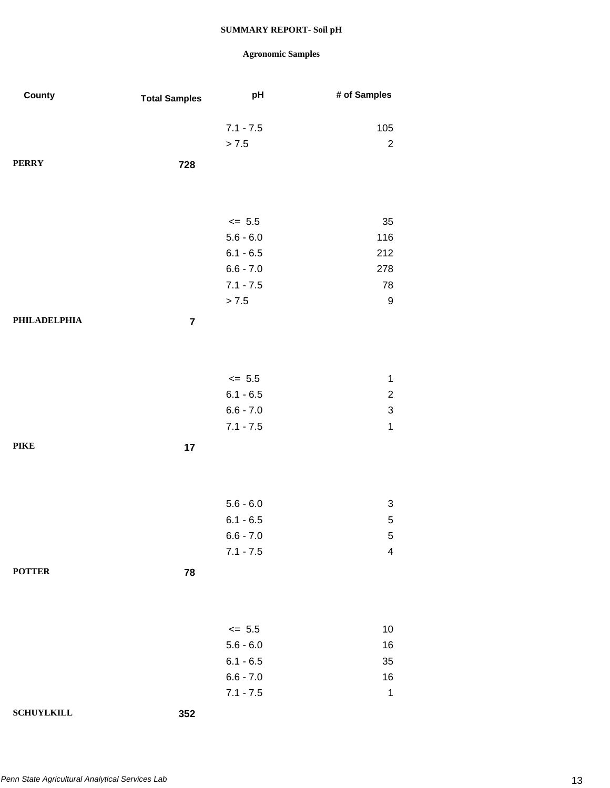| County            | <b>Total Samples</b> | pH          | # of Samples              |
|-------------------|----------------------|-------------|---------------------------|
|                   |                      | $7.1 - 7.5$ | 105                       |
|                   |                      | > 7.5       | $\sqrt{2}$                |
| <b>PERRY</b>      | 728                  |             |                           |
|                   |                      |             |                           |
|                   |                      | $\le$ 5.5   | 35                        |
|                   |                      | $5.6 - 6.0$ | 116                       |
|                   |                      | $6.1 - 6.5$ | 212                       |
|                   |                      | $6.6 - 7.0$ | 278                       |
|                   |                      | $7.1 - 7.5$ | 78                        |
|                   |                      | > 7.5       | $\boldsymbol{9}$          |
| PHILADELPHIA      | $\overline{7}$       |             |                           |
|                   |                      |             |                           |
|                   |                      | $\le$ 5.5   | 1                         |
|                   |                      | $6.1 - 6.5$ | $\overline{c}$            |
|                   |                      | $6.6 - 7.0$ | $\ensuremath{\mathsf{3}}$ |
|                   |                      | $7.1 - 7.5$ | $\mathbf 1$               |
| <b>PIKE</b>       | 17                   |             |                           |
|                   |                      |             |                           |
|                   |                      | $5.6 - 6.0$ | $\ensuremath{\mathsf{3}}$ |
|                   |                      | $6.1 - 6.5$ | 5                         |
|                   |                      | $6.6 - 7.0$ | $\sqrt{5}$                |
|                   |                      | $7.1 - 7.5$ | $\overline{\mathbf{4}}$   |
| <b>POTTER</b>     | 78                   |             |                           |
|                   |                      |             |                           |
|                   |                      | $\le$ 5.5   | 10                        |
|                   |                      | $5.6 - 6.0$ | 16                        |
|                   |                      | $6.1 - 6.5$ | 35                        |
|                   |                      | $6.6 - 7.0$ | 16                        |
|                   |                      | $7.1 - 7.5$ | $\mathbf 1$               |
| <b>SCHUYLKILL</b> | 352                  |             |                           |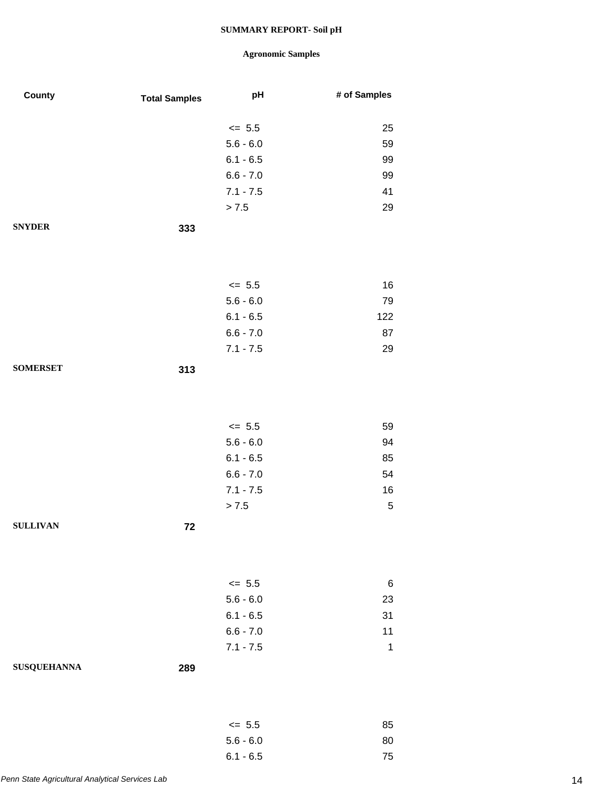## **Agronomic Samples**

6.1 - 6.5 75

| County             | <b>Total Samples</b> | pH                         | # of Samples |
|--------------------|----------------------|----------------------------|--------------|
|                    |                      |                            |              |
|                    |                      | $\leq$ 5.5                 | 25           |
|                    |                      | $5.6 - 6.0$<br>$6.1 - 6.5$ | 59<br>99     |
|                    |                      | $6.6 - 7.0$                | 99           |
|                    |                      | $7.1 - 7.5$                | 41           |
|                    |                      | > 7.5                      | 29           |
| <b>SNYDER</b>      |                      |                            |              |
|                    | 333                  |                            |              |
|                    |                      |                            |              |
|                    |                      |                            |              |
|                    |                      | $= 5.5$                    | 16           |
|                    |                      | $5.6 - 6.0$                | 79           |
|                    |                      | $6.1 - 6.5$                | 122          |
|                    |                      | $6.6 - 7.0$                | 87           |
|                    |                      | $7.1 - 7.5$                | 29           |
| <b>SOMERSET</b>    | 313                  |                            |              |
|                    |                      |                            |              |
|                    |                      |                            |              |
|                    |                      | $\leq$ 5.5                 | 59           |
|                    |                      | $5.6 - 6.0$                | 94           |
|                    |                      | $6.1 - 6.5$                | 85           |
|                    |                      | $6.6 - 7.0$                | 54           |
|                    |                      | $7.1 - 7.5$                | 16           |
|                    |                      | > 7.5                      | $\sqrt{5}$   |
| <b>SULLIVAN</b>    | 72                   |                            |              |
|                    |                      |                            |              |
|                    |                      |                            |              |
|                    |                      |                            |              |
|                    |                      | $\leq$ 5.5                 | 6            |
|                    |                      | $5.6 - 6.0$                | 23           |
|                    |                      | $6.1 - 6.5$<br>$6.6 - 7.0$ | 31<br>11     |
|                    |                      | $7.1 - 7.5$                | $\mathbf 1$  |
|                    |                      |                            |              |
| <b>SUSQUEHANNA</b> | 289                  |                            |              |
|                    |                      |                            |              |
|                    |                      |                            |              |
|                    |                      | $\leq$ 5.5                 | 85           |
|                    |                      | $5.6 - 6.0$                | 80           |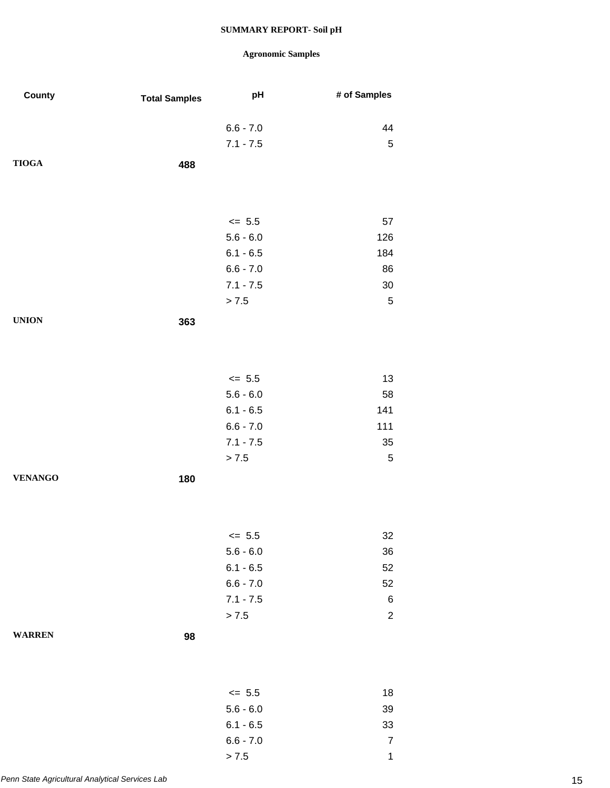| County         | <b>Total Samples</b> | pH          | # of Samples   |
|----------------|----------------------|-------------|----------------|
|                |                      |             |                |
|                |                      | $6.6 - 7.0$ | 44             |
|                |                      | $7.1 - 7.5$ | $\sqrt{5}$     |
| <b>TIOGA</b>   | 488                  |             |                |
|                |                      |             |                |
|                |                      |             |                |
|                |                      | $\leq$ 5.5  | 57             |
|                |                      | $5.6 - 6.0$ | 126            |
|                |                      | $6.1 - 6.5$ | 184            |
|                |                      | $6.6 - 7.0$ | 86             |
|                |                      | $7.1 - 7.5$ | $30\,$         |
|                |                      | > 7.5       | $\,$ 5 $\,$    |
| <b>UNION</b>   | 363                  |             |                |
|                |                      |             |                |
|                |                      |             |                |
|                |                      |             |                |
|                |                      | $\leq$ 5.5  | 13             |
|                |                      | $5.6 - 6.0$ | 58             |
|                |                      | $6.1 - 6.5$ | 141            |
|                |                      | $6.6 - 7.0$ | 111            |
|                |                      | $7.1 - 7.5$ | $35\,$         |
|                |                      | > 7.5       | $\mathbf 5$    |
| <b>VENANGO</b> | 180                  |             |                |
|                |                      |             |                |
|                |                      |             |                |
|                |                      | $\leq$ 5.5  |                |
|                |                      | $5.6 - 6.0$ | 32<br>36       |
|                |                      | $6.1 - 6.5$ | 52             |
|                |                      | $6.6 - 7.0$ | 52             |
|                |                      | $7.1 - 7.5$ | $\,6$          |
|                |                      | > 7.5       | $\overline{c}$ |
|                |                      |             |                |
| <b>WARREN</b>  | 98                   |             |                |
|                |                      |             |                |
|                |                      |             |                |
|                |                      | $\leq$ 5.5  | 18             |
|                |                      | $5.6 - 6.0$ | 39             |
|                |                      | $6.1 - 6.5$ | 33             |
|                |                      | $6.6 - 7.0$ | $\overline{7}$ |
|                |                      | > 7.5       | 1              |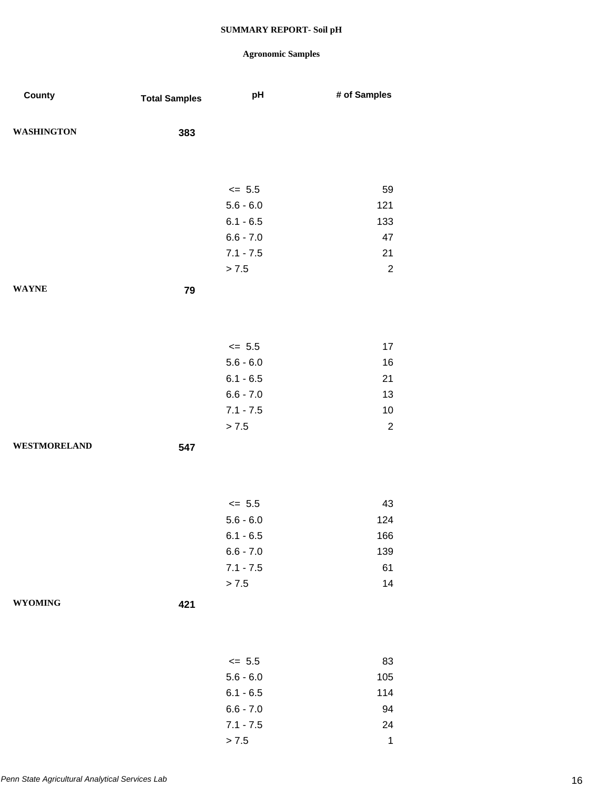| County              | <b>Total Samples</b> | pH                         | # of Samples |
|---------------------|----------------------|----------------------------|--------------|
| <b>WASHINGTON</b>   | 383                  |                            |              |
|                     |                      |                            |              |
|                     |                      |                            |              |
|                     |                      | $\le$ 5.5                  | 59           |
|                     |                      | $5.6 - 6.0$                | 121          |
|                     |                      | $6.1 - 6.5$                | 133          |
|                     |                      | $6.6 - 7.0$                | 47           |
|                     |                      | $7.1 - 7.5$                | 21           |
|                     |                      | $> 7.5$                    | $\sqrt{2}$   |
| <b>WAYNE</b>        | 79                   |                            |              |
|                     |                      |                            |              |
|                     |                      |                            |              |
|                     |                      | $\le$ 5.5                  | 17           |
|                     |                      | $5.6 - 6.0$                | 16           |
|                     |                      | $6.1 - 6.5$                | 21           |
|                     |                      | $6.6 - 7.0$<br>$7.1 - 7.5$ | 13<br>10     |
|                     |                      | > 7.5                      | $\sqrt{2}$   |
| <b>WESTMORELAND</b> | 547                  |                            |              |
|                     |                      |                            |              |
|                     |                      |                            |              |
|                     |                      | $\le$ 5.5                  | 43           |
|                     |                      | $5.6 - 6.0$                | 124          |
|                     |                      | $6.1 - 6.5$                | 166          |
|                     |                      | $6.6 - 7.0$                | 139          |
|                     |                      | $7.1 - 7.5$                | 61           |
|                     |                      | > 7.5                      | 14           |
| <b>WYOMING</b>      | 421                  |                            |              |
|                     |                      |                            |              |
|                     |                      |                            |              |
|                     |                      | $\le$ 5.5                  | 83           |
|                     |                      | $5.6 - 6.0$                | 105          |
|                     |                      | $6.1 - 6.5$                | 114          |
|                     |                      | $6.6 - 7.0$                | 94           |
|                     |                      | $7.1 - 7.5$                | 24           |
|                     |                      | > 7.5                      | $\mathbf 1$  |